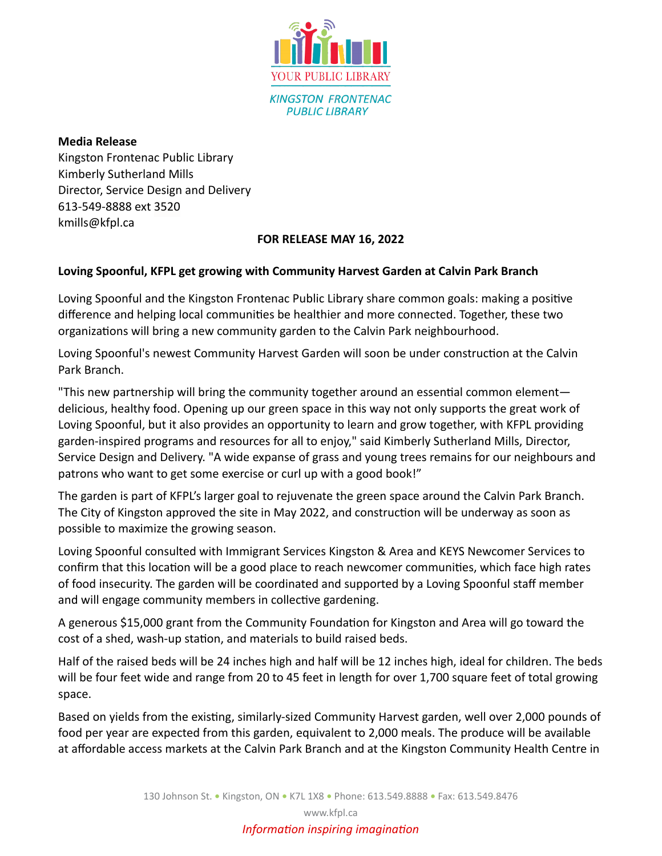

**Media Release** Kingston Frontenac Public Library Kimberly Sutherland Mills Director, Service Design and Delivery 613-549-8888 ext 3520 kmills@kfpl.ca

## **FOR RELEASE MAY 16, 2022**

## **Loving Spoonful, KFPL get growing with Community Harvest Garden at Calvin Park Branch**

Loving Spoonful and the Kingston Frontenac Public Library share common goals: making a positive difference and helping local communities be healthier and more connected. Together, these two organizations will bring a new community garden to the Calvin Park neighbourhood.

Loving Spoonful's newest Community Harvest Garden will soon be under construction at the Calvin Park Branch.

"This new partnership will bring the community together around an essential common element delicious, healthy food. Opening up our green space in this way not only supports the great work of Loving Spoonful, but it also provides an opportunity to learn and grow together, with KFPL providing garden-inspired programs and resources for all to enjoy," said Kimberly Sutherland Mills, Director, Service Design and Delivery. "A wide expanse of grass and young trees remains for our neighbours and patrons who want to get some exercise or curl up with a good book!"

The garden is part of KFPL's larger goal to rejuvenate the green space around the Calvin Park Branch. The City of Kingston approved the site in May 2022, and construction will be underway as soon as possible to maximize the growing season.

Loving Spoonful consulted with Immigrant Services Kingston & Area and KEYS Newcomer Services to confirm that this location will be a good place to reach newcomer communities, which face high rates of food insecurity. The garden will be coordinated and supported by a Loving Spoonful staff member and will engage community members in collective gardening.

A generous \$15,000 grant from the Community Foundation for Kingston and Area will go toward the cost of a shed, wash-up station, and materials to build raised beds.

Half of the raised beds will be 24 inches high and half will be 12 inches high, ideal for children. The beds will be four feet wide and range from 20 to 45 feet in length for over 1,700 square feet of total growing space.

Based on yields from the existing, similarly-sized Community Harvest garden, well over 2,000 pounds of food per year are expected from this garden, equivalent to 2,000 meals. The produce will be available at affordable access markets at the Calvin Park Branch and at the Kingston Community Health Centre in

www.kfpl.ca